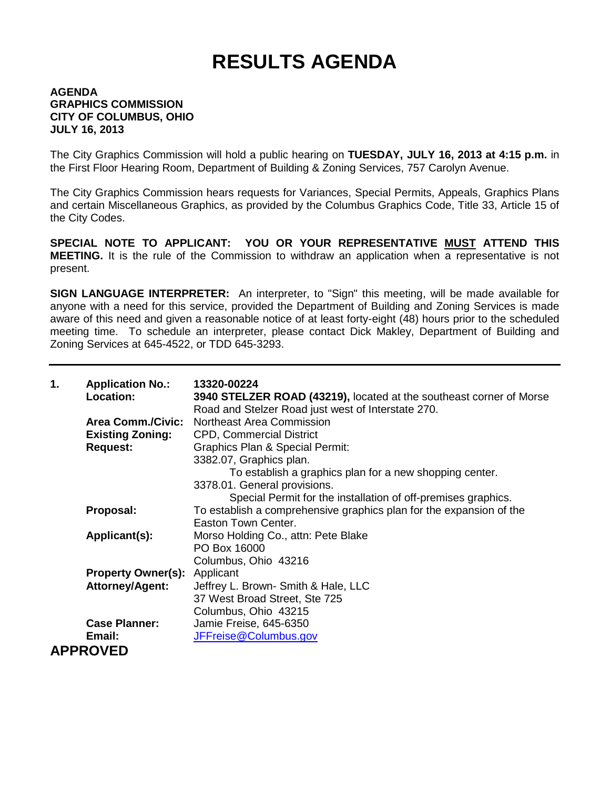## **RESULTS AGENDA**

## **AGENDA GRAPHICS COMMISSION CITY OF COLUMBUS, OHIO JULY 16, 2013**

The City Graphics Commission will hold a public hearing on **TUESDAY, JULY 16, 2013 at 4:15 p.m.** in the First Floor Hearing Room, Department of Building & Zoning Services, 757 Carolyn Avenue.

The City Graphics Commission hears requests for Variances, Special Permits, Appeals, Graphics Plans and certain Miscellaneous Graphics, as provided by the Columbus Graphics Code, Title 33, Article 15 of the City Codes.

**SPECIAL NOTE TO APPLICANT: YOU OR YOUR REPRESENTATIVE MUST ATTEND THIS MEETING.** It is the rule of the Commission to withdraw an application when a representative is not present.

**SIGN LANGUAGE INTERPRETER:** An interpreter, to "Sign" this meeting, will be made available for anyone with a need for this service, provided the Department of Building and Zoning Services is made aware of this need and given a reasonable notice of at least forty-eight (48) hours prior to the scheduled meeting time. To schedule an interpreter, please contact Dick Makley, Department of Building and Zoning Services at 645-4522, or TDD 645-3293.

| 1. | <b>Application No.:</b><br>Location: | 13320-00224<br>3940 STELZER ROAD (43219), located at the southeast corner of Morse<br>Road and Stelzer Road just west of Interstate 270. |
|----|--------------------------------------|------------------------------------------------------------------------------------------------------------------------------------------|
|    |                                      | <b>Area Comm./Civic:</b> Northeast Area Commission                                                                                       |
|    | <b>Existing Zoning:</b>              | <b>CPD, Commercial District</b>                                                                                                          |
|    | <b>Request:</b>                      | Graphics Plan & Special Permit:                                                                                                          |
|    |                                      | 3382.07, Graphics plan.                                                                                                                  |
|    |                                      | To establish a graphics plan for a new shopping center.                                                                                  |
|    |                                      | 3378.01. General provisions.                                                                                                             |
|    |                                      | Special Permit for the installation of off-premises graphics.                                                                            |
|    | Proposal:                            | To establish a comprehensive graphics plan for the expansion of the                                                                      |
|    |                                      | Easton Town Center.                                                                                                                      |
|    | Applicant(s):                        | Morso Holding Co., attn: Pete Blake                                                                                                      |
|    |                                      | PO Box 16000                                                                                                                             |
|    |                                      | Columbus, Ohio 43216                                                                                                                     |
|    | <b>Property Owner(s): Applicant</b>  |                                                                                                                                          |
|    | <b>Attorney/Agent:</b>               | Jeffrey L. Brown- Smith & Hale, LLC                                                                                                      |
|    |                                      | 37 West Broad Street, Ste 725                                                                                                            |
|    |                                      | Columbus, Ohio 43215                                                                                                                     |
|    | <b>Case Planner:</b>                 | Jamie Freise, 645-6350                                                                                                                   |
|    | Email:                               | JFFreise@Columbus.gov                                                                                                                    |
|    | <b>APPROVED</b>                      |                                                                                                                                          |